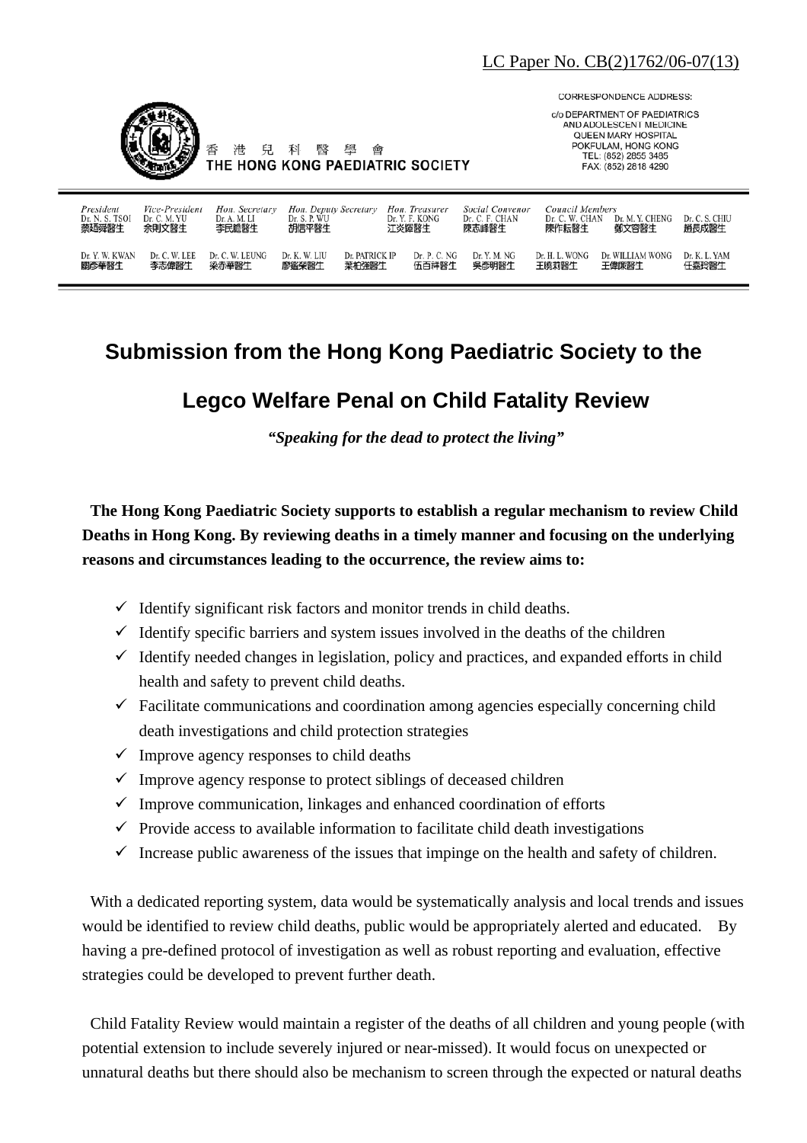

兒 科

港

臀 壆 **CORRESPONDENCE ADDRESS:** 

c/o DEPARTMENT OF PAEDIATRICS AND ADOLESCENT MEDICINE **OUFFN MARY HOSPITAL** POKFULAM, HONG KONG TEL: (852) 2855 3485 FAX: (852) 2818 4290

| President<br>Dr. N. S. TSOI<br>蔡廼舜醫生 | Vice-President<br>Dr. C. M. YU<br>余則文醫生 | Hon. Secretary<br>Dr. A. M. LI<br>李民瞻醫生 | Hon. Deputy Secretary<br>Dr. S. P. WU<br>胡信平醫生 |                | Hon. Treasurer<br>Dr. Y. F. KONG<br>江炎輝醫生 | Social Convenor<br>Dr. C. F. CHAN<br>陳志峰醫生 | Council Members<br>Dr. C. W. CHAN<br>陳作耘醫生 | Dr. M. Y. CHENG<br>鄭文容醫生 | Dr. C. S. CHIU<br>趙長成醫生 |
|--------------------------------------|-----------------------------------------|-----------------------------------------|------------------------------------------------|----------------|-------------------------------------------|--------------------------------------------|--------------------------------------------|--------------------------|-------------------------|
| Dr. Y. W. KWAN                       | Dr. C. W. LEE                           | Dr. C. W. LEUNG                         | Dr. K. W. LIU                                  | Dr. PATRICK IP | Dr. P. C. NG                              | Dr. Y. M. NG                               | Dr. H. L. WONG                             | Dr. WILLIAM WONG         | Dr. K. L. YAM           |
| 關彥華醫生                                | 李志偉醫生                                   | 梁赤華醫生                                   | 廖鑑榮醫生                                          | 葉柏強醫生          | 伍百祥醫生                                     | 吳彥明醫生                                      | 王曉莉醫生                                      | 王偉廉醫生                    | 任嘉玲醫生                   |

凾

## **Submission from the Hong Kong Paediatric Society to the**

## **Legco Welfare Penal on Child Fatality Review**

*"Speaking for the dead to protect the living"* 

**The Hong Kong Paediatric Society supports to establish a regular mechanism to review Child Deaths in Hong Kong. By reviewing deaths in a timely manner and focusing on the underlying reasons and circumstances leading to the occurrence, the review aims to:** 

- $\checkmark$  Identify significant risk factors and monitor trends in child deaths.
- $\checkmark$  Identify specific barriers and system issues involved in the deaths of the children
- $\checkmark$  Identify needed changes in legislation, policy and practices, and expanded efforts in child health and safety to prevent child deaths.
- $\checkmark$  Facilitate communications and coordination among agencies especially concerning child death investigations and child protection strategies
- $\checkmark$  Improve agency responses to child deaths
- $\checkmark$  Improve agency response to protect siblings of deceased children
- $\checkmark$  Improve communication, linkages and enhanced coordination of efforts
- $\checkmark$  Provide access to available information to facilitate child death investigations
- $\checkmark$  Increase public awareness of the issues that impinge on the health and safety of children.

With a dedicated reporting system, data would be systematically analysis and local trends and issues would be identified to review child deaths, public would be appropriately alerted and educated. By having a pre-defined protocol of investigation as well as robust reporting and evaluation, effective strategies could be developed to prevent further death.

Child Fatality Review would maintain a register of the deaths of all children and young people (with potential extension to include severely injured or near-missed). It would focus on unexpected or unnatural deaths but there should also be mechanism to screen through the expected or natural deaths